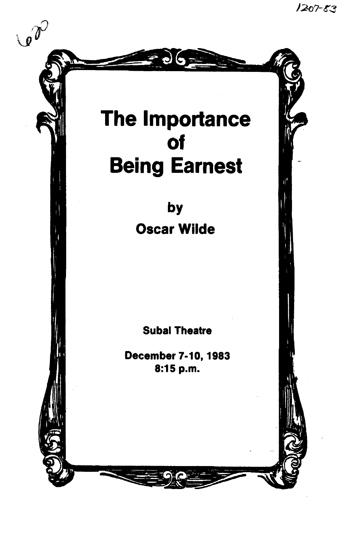$1207 - 83$ 

# The Importance of Being Earnest

 $\bullet$ 

 $\mathcal{A}$ 

by Oscar Wilde

Subal Theatre

December 7-10, 1983 8:15 p.m.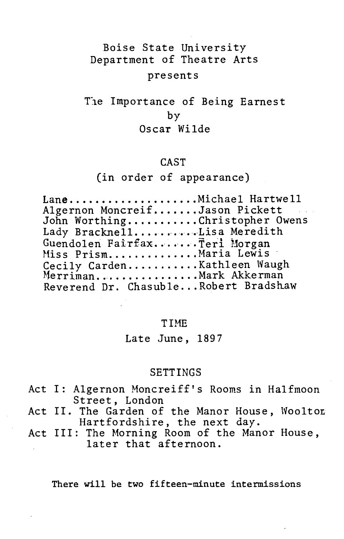# Boise State University Department of Theatre Arts presents

# The Importance of Being Earnest by Oscar Wilde

## CAST

# (in order of appearance)

#### TIME

Late June, 1897

#### SETTINGS

- Act I: Algernon Moncreiff's Rooms in Halfmoon Street, London
- Act II. The Garden of the Manor House, Woolton Hartfordshire, the next day.
- Act III: The Morning Room of the Manor House, later that afternoon.

There will be two fifteen-minute intermissions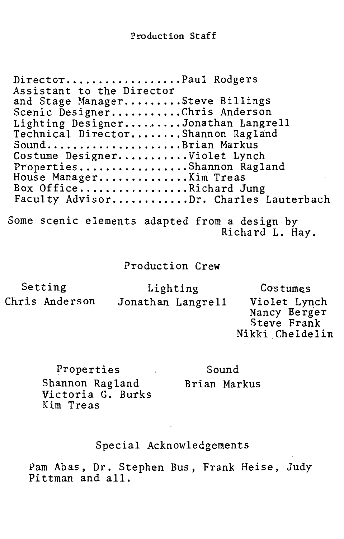Director.................Paul Rodgers Assistant to the Director and Stage Manager.........Steve Billings Scenic Designer...........Chris Anderson Lighting Designer.........Jonathan Langrell<br>Technical Director.......Shannon Ragland Sound....................Brian Markus Costume Designer........... Violet Lynch Properties................Shannon Ragland<br>House Manager.............Kim Treas Box Office ................. Richard Jung Faculty Advisor...........Dr. Charles Lauterbach Some scenic elements adapted from a design by Richard L. Hay.

# Production Crew

| Setting        | Lighting |                   | Costumes                                                       |
|----------------|----------|-------------------|----------------------------------------------------------------|
| Chris Anderson |          | Jonathan Langrell | Violet Lynch<br>Nancy Berger<br>Steve Frank<br>Nikki Cheldelin |

Properties Shannon Ragland Victoria G. Burks Kim Treas Sound Brian Markus

## Special Acknowledgements

Pam Abas, Dr. Stephen Bus, Frank Heise, Judy Pittman and all.